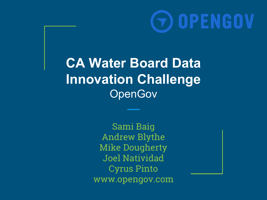

**CA Water Board Data Innovation Challenge OpenGov** 

> Sami Baig Andrew Blythe Mike Dougherty Joel Natividad Cyrus Pinto www.opengov.com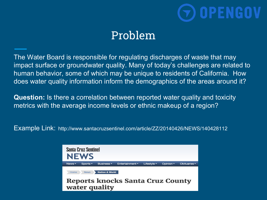

# Problem

The Water Board is responsible for regulating discharges of waste that may impact surface or groundwater quality. Many of today's challenges are related to human behavior, some of which may be unique to residents of California. How does water quality information inform the demographics of the areas around it?

**Question:** Is there a correlation between reported water quality and toxicity metrics with the average income levels or ethnic makeup of a region?

Example Link: http://www.santacruzsentinel.com/article/ZZ/20140426/NEWS/140428112

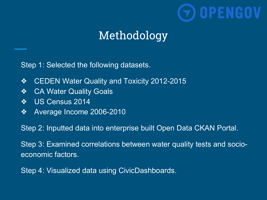

# Methodology

Step 1: Selected the following datasets.

- ❖ CEDEN Water Quality and Toxicity 2012-2015
- ❖ CA Water Quality Goals
- ❖ US Census 2014
- ❖ Average Income 2006-2010

Step 2: Inputted data into enterprise built Open Data CKAN Portal.

Step 3: Examined correlations between water quality tests and socioeconomic factors.

Step 4: Visualized data using CivicDashboards.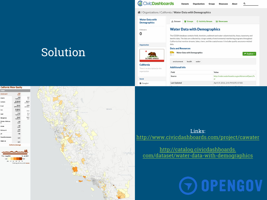# **Solution**



**Last Updated** 

Social

图 Google+

#### **California Water Quality**  $0.29$ <br>(mg/L) 8.49<br>(mg/Kg dw)  $3.27$ 27,595.32<br>MPN/100 mL) 992.33<br>fu/100ml.) Coliforn 924.61<br>(MPN/100 mL) 46.86<br>(du/100mL) 34,690.27<br>(mg/Kg dw)  $(mgl<sub>i</sub>)$  $17.27$  $3.14$ <br>(ug/L) mg/Kg dw 720.87<br>mg/Kg dw) 90.37 Nitrate + Nitrite a 3.38  $(mpL)$  $1.23$ Nitrati  $(m_0/L)$  $0.06$ Nitrite as N (ma/L) nŀ 7.85 Hexachio **PBDE 140** (pg/L) California (Average) From: Aug 2012 To: Jul 2015

30 53 13 13



Links: <http://www.civicdashboards.com/project/cawater>

[http://catalog.civicdashboards.](http://catalog.civicdashboards.com/dataset/water-data-with-demographics) [com/dataset/water-data-with-demographics](http://catalog.civicdashboards.com/dataset/water-data-with-demographics)

**DOPENGOV** 

April 19, 2016, 2:41 PM (UTC-07:00)